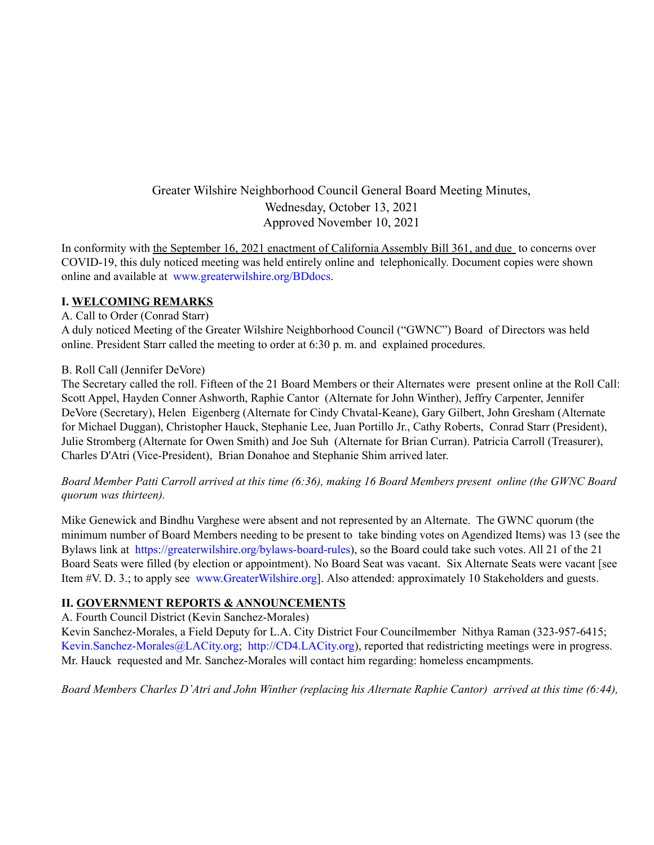# Greater Wilshire Neighborhood Council General Board Meeting Minutes, Wednesday, October 13, 2021 Approved November 10, 2021

In conformity with the September 16, 2021 enactment of California Assembly Bill 361, and due to concerns over COVID-19, this duly noticed meeting was held entirely online and telephonically. Document copies were shown online and available at www.greaterwilshire.org/BDdocs.

### **I. WELCOMING REMARKS**

### A. Call to Order (Conrad Starr)

A duly noticed Meeting of the Greater Wilshire Neighborhood Council ("GWNC") Board of Directors was held online. President Starr called the meeting to order at 6:30 p. m. and explained procedures.

### B. Roll Call (Jennifer DeVore)

The Secretary called the roll. Fifteen of the 21 Board Members or their Alternates were present online at the Roll Call: Scott Appel, Hayden Conner Ashworth, Raphie Cantor (Alternate for John Winther), Jeffry Carpenter, Jennifer DeVore (Secretary), Helen Eigenberg (Alternate for Cindy Chvatal-Keane), Gary Gilbert, John Gresham (Alternate for Michael Duggan), Christopher Hauck, Stephanie Lee, Juan Portillo Jr., Cathy Roberts, Conrad Starr (President), Julie Stromberg (Alternate for Owen Smith) and Joe Suh (Alternate for Brian Curran). Patricia Carroll (Treasurer), Charles D'Atri (Vice-President), Brian Donahoe and Stephanie Shim arrived later.

Board Member Patti Carroll arrived at this time (6:36), making 16 Board Members present online (the GWNC Board *quorum was thirteen).*

Mike Genewick and Bindhu Varghese were absent and not represented by an Alternate. The GWNC quorum (the minimum number of Board Members needing to be present to take binding votes on Agendized Items) was 13 (see the Bylaws link at https://greaterwilshire.org/bylaws-board-rules), so the Board could take such votes. All 21 of the 21 Board Seats were filled (by election or appointment). No Board Seat was vacant. Six Alternate Seats were vacant [see Item #V. D. 3.; to apply see www.GreaterWilshire.org]. Also attended: approximately 10 Stakeholders and guests.

### **II. GOVERNMENT REPORTS & ANNOUNCEMENTS**

A. Fourth Council District (Kevin Sanchez-Morales)

Kevin Sanchez-Morales, a Field Deputy for L.A. City District Four Councilmember Nithya Raman (323-957-6415; Kevin.Sanchez-Morales@LACity.org; http://CD4.LACity.org), reported that redistricting meetings were in progress. Mr. Hauck requested and Mr. Sanchez-Morales will contact him regarding: homeless encampments.

Board Members Charles D'Atri and John Winther (replacing his Alternate Raphie Cantor) arrived at this time (6:44),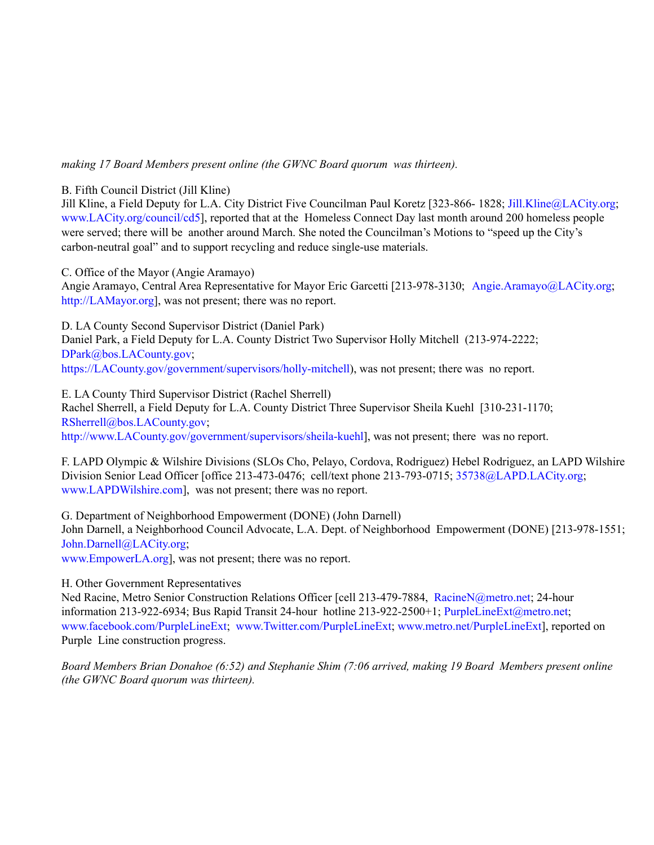### *making 17 Board Members present online (the GWNC Board quorum was thirteen).*

#### B. Fifth Council District (Jill Kline)

Jill Kline, a Field Deputy for L.A. City District Five Councilman Paul Koretz [323-866- 1828; Jill.Kline@LACity.org; www.LACity.org/council/cd5], reported that at the Homeless Connect Day last month around 200 homeless people were served; there will be another around March. She noted the Councilman's Motions to "speed up the City's carbon-neutral goal" and to support recycling and reduce single-use materials.

C. Office of the Mayor (Angie Aramayo)

Angie Aramayo, Central Area Representative for Mayor Eric Garcetti [213-978-3130; Angie.Aramayo@LACity.org; http://LAMayor.org], was not present; there was no report.

D. LA County Second Supervisor District (Daniel Park)

Daniel Park, a Field Deputy for L.A. County District Two Supervisor Holly Mitchell (213-974-2222; DPark@bos.LACounty.gov; https://LACounty.gov/government/supervisors/holly-mitchell), was not present; there was no report.

E. LA County Third Supervisor District (Rachel Sherrell) Rachel Sherrell, a Field Deputy for L.A. County District Three Supervisor Sheila Kuehl [310-231-1170; RSherrell@bos.LACounty.gov; http://www.LACounty.gov/government/supervisors/sheila-kuehl], was not present; there was no report.

F. LAPD Olympic & Wilshire Divisions (SLOs Cho, Pelayo, Cordova, Rodriguez) Hebel Rodriguez, an LAPD Wilshire Division Senior Lead Officer [office 213-473-0476; cell/text phone 213-793-0715; 35738@LAPD.LACity.org; www.LAPDWilshire.com], was not present; there was no report.

G. Department of Neighborhood Empowerment (DONE) (John Darnell)

John Darnell, a Neighborhood Council Advocate, L.A. Dept. of Neighborhood Empowerment (DONE) [213-978-1551; John.Darnell@LACity.org;

www.EmpowerLA.org], was not present; there was no report.

H. Other Government Representatives

Ned Racine, Metro Senior Construction Relations Officer [cell 213-479-7884, RacineN@metro.net; 24-hour information 213-922-6934; Bus Rapid Transit 24-hour hotline 213-922-2500+1; PurpleLineExt@metro.net; www.facebook.com/PurpleLineExt; www.Twitter.com/PurpleLineExt; www.metro.net/PurpleLineExt], reported on Purple Line construction progress.

*Board Members Brian Donahoe (6:52) and Stephanie Shim (7:06 arrived, making 19 Board Members present online (the GWNC Board quorum was thirteen).*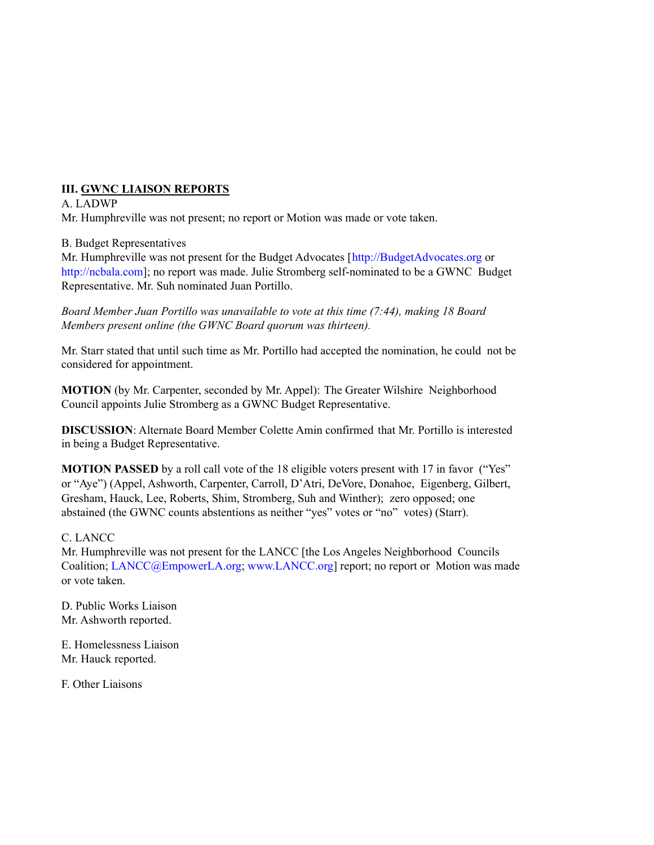## **III. GWNC LIAISON REPORTS**

### A. LADWP

Mr. Humphreville was not present; no report or Motion was made or vote taken.

### B. Budget Representatives

Mr. Humphreville was not present for the Budget Advocates [http://BudgetAdvocates.org or http://ncbala.com]; no report was made. Julie Stromberg self-nominated to be a GWNC Budget Representative. Mr. Suh nominated Juan Portillo.

*Board Member Juan Portillo was unavailable to vote at this time (7:44), making 18 Board Members present online (the GWNC Board quorum was thirteen).*

Mr. Starr stated that until such time as Mr. Portillo had accepted the nomination, he could not be considered for appointment.

**MOTION** (by Mr. Carpenter, seconded by Mr. Appel): The Greater Wilshire Neighborhood Council appoints Julie Stromberg as a GWNC Budget Representative.

**DISCUSSION**: Alternate Board Member Colette Amin confirmed that Mr. Portillo is interested in being a Budget Representative.

**MOTION PASSED** by a roll call vote of the 18 eligible voters present with 17 in favor ("Yes" or "Aye") (Appel, Ashworth, Carpenter, Carroll, D'Atri, DeVore, Donahoe, Eigenberg, Gilbert, Gresham, Hauck, Lee, Roberts, Shim, Stromberg, Suh and Winther); zero opposed; one abstained (the GWNC counts abstentions as neither "yes" votes or "no" votes) (Starr).

### C. LANCC

Mr. Humphreville was not present for the LANCC [the Los Angeles Neighborhood Councils Coalition; LANCC@EmpowerLA.org; www.LANCC.org] report; no report or Motion was made or vote taken.

D. Public Works Liaison Mr. Ashworth reported.

E. Homelessness Liaison Mr. Hauck reported.

F. Other Liaisons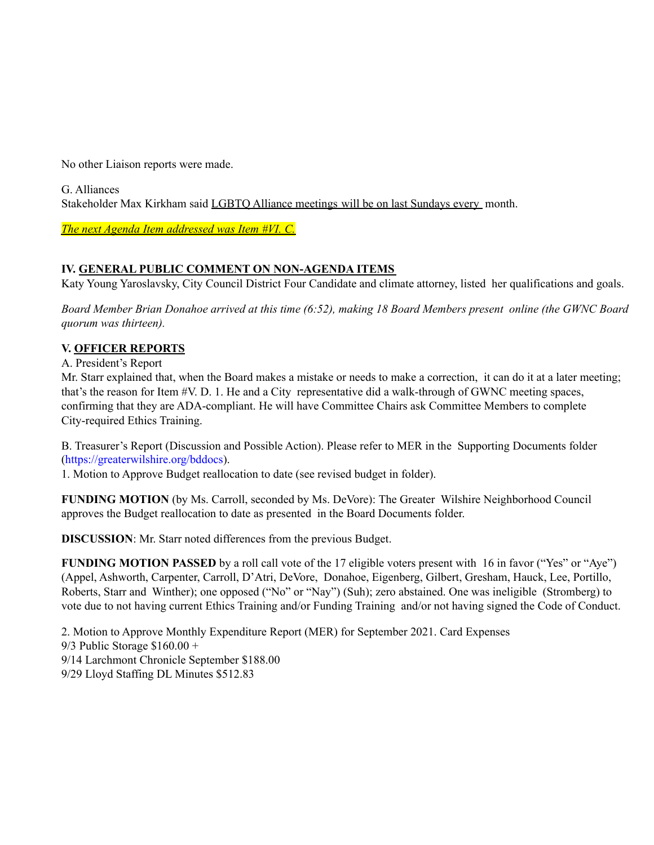No other Liaison reports were made.

G. Alliances Stakeholder Max Kirkham said LGBTQ Alliance meetings will be on last Sundays every month.

*The next Agenda Item addressed was Item #VI. C.*

## **IV. GENERAL PUBLIC COMMENT ON NON-AGENDA ITEMS**

Katy Young Yaroslavsky, City Council District Four Candidate and climate attorney, listed her qualifications and goals.

Board Member Brian Donahoe arrived at this time (6:52), making 18 Board Members present online (the GWNC Board *quorum was thirteen).*

## **V. OFFICER REPORTS**

A. President's Report

Mr. Starr explained that, when the Board makes a mistake or needs to make a correction, it can do it at a later meeting; that's the reason for Item #V. D. 1. He and a City representative did a walk-through of GWNC meeting spaces, confirming that they are ADA-compliant. He will have Committee Chairs ask Committee Members to complete City-required Ethics Training.

B. Treasurer's Report (Discussion and Possible Action). Please refer to MER in the Supporting Documents folder (https://greaterwilshire.org/bddocs).

1. Motion to Approve Budget reallocation to date (see revised budget in folder).

**FUNDING MOTION** (by Ms. Carroll, seconded by Ms. DeVore): The Greater Wilshire Neighborhood Council approves the Budget reallocation to date as presented in the Board Documents folder.

**DISCUSSION**: Mr. Starr noted differences from the previous Budget.

**FUNDING MOTION PASSED** by a roll call vote of the 17 eligible voters present with 16 in favor ("Yes" or "Aye") (Appel, Ashworth, Carpenter, Carroll, D'Atri, DeVore, Donahoe, Eigenberg, Gilbert, Gresham, Hauck, Lee, Portillo, Roberts, Starr and Winther); one opposed ("No" or "Nay") (Suh); zero abstained. One was ineligible (Stromberg) to vote due to not having current Ethics Training and/or Funding Training and/or not having signed the Code of Conduct.

2. Motion to Approve Monthly Expenditure Report (MER) for September 2021. Card Expenses 9/3 Public Storage \$160.00 + 9/14 Larchmont Chronicle September \$188.00 9/29 Lloyd Staffing DL Minutes \$512.83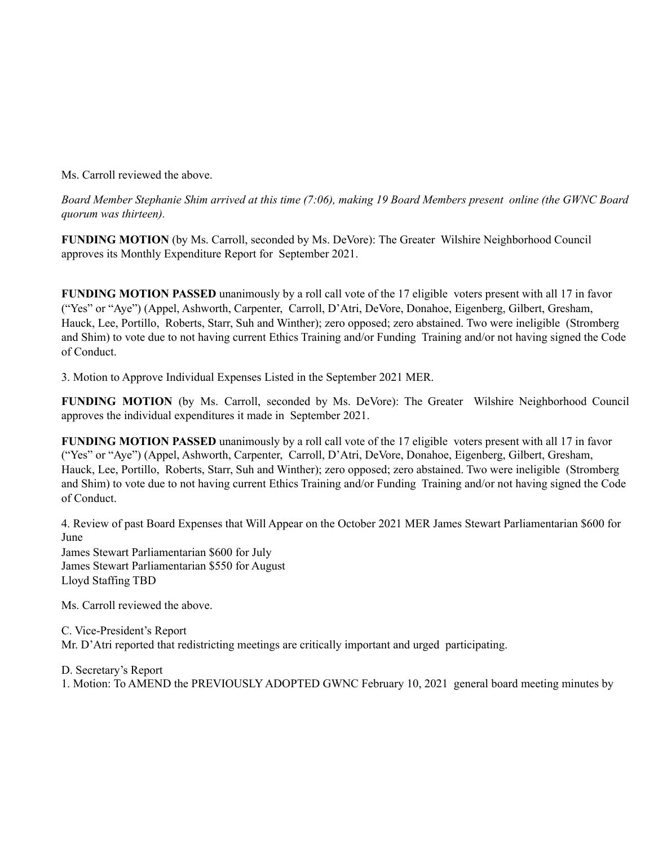Ms. Carroll reviewed the above.

Board Member Stephanie Shim arrived at this time (7:06), making 19 Board Members present online (the GWNC Board *quorum was thirteen).*

**FUNDING MOTION** (by Ms. Carroll, seconded by Ms. DeVore): The Greater Wilshire Neighborhood Council approves its Monthly Expenditure Report for September 2021.

**FUNDING MOTION PASSED** unanimously by a roll call vote of the 17 eligible voters present with all 17 in favor ("Yes" or "Aye") (Appel, Ashworth, Carpenter, Carroll, D'Atri, DeVore, Donahoe, Eigenberg, Gilbert, Gresham, Hauck, Lee, Portillo, Roberts, Starr, Suh and Winther); zero opposed; zero abstained. Two were ineligible (Stromberg and Shim) to vote due to not having current Ethics Training and/or Funding Training and/or not having signed the Code of Conduct.

3. Motion to Approve Individual Expenses Listed in the September 2021 MER.

**FUNDING MOTION** (by Ms. Carroll, seconded by Ms. DeVore): The Greater Wilshire Neighborhood Council approves the individual expenditures it made in September 2021.

**FUNDING MOTION PASSED** unanimously by a roll call vote of the 17 eligible voters present with all 17 in favor ("Yes" or "Aye") (Appel, Ashworth, Carpenter, Carroll, D'Atri, DeVore, Donahoe, Eigenberg, Gilbert, Gresham, Hauck, Lee, Portillo, Roberts, Starr, Suh and Winther); zero opposed; zero abstained. Two were ineligible (Stromberg and Shim) to vote due to not having current Ethics Training and/or Funding Training and/or not having signed the Code of Conduct.

4. Review of past Board Expenses that Will Appear on the October 2021 MER James Stewart Parliamentarian \$600 for June James Stewart Parliamentarian \$600 for July

James Stewart Parliamentarian \$550 for August Lloyd Staffing TBD

Ms. Carroll reviewed the above.

C. Vice-President's Report Mr. D'Atri reported that redistricting meetings are critically important and urged participating.

D. Secretary's Report

1. Motion: To AMEND the PREVIOUSLY ADOPTED GWNC February 10, 2021 general board meeting minutes by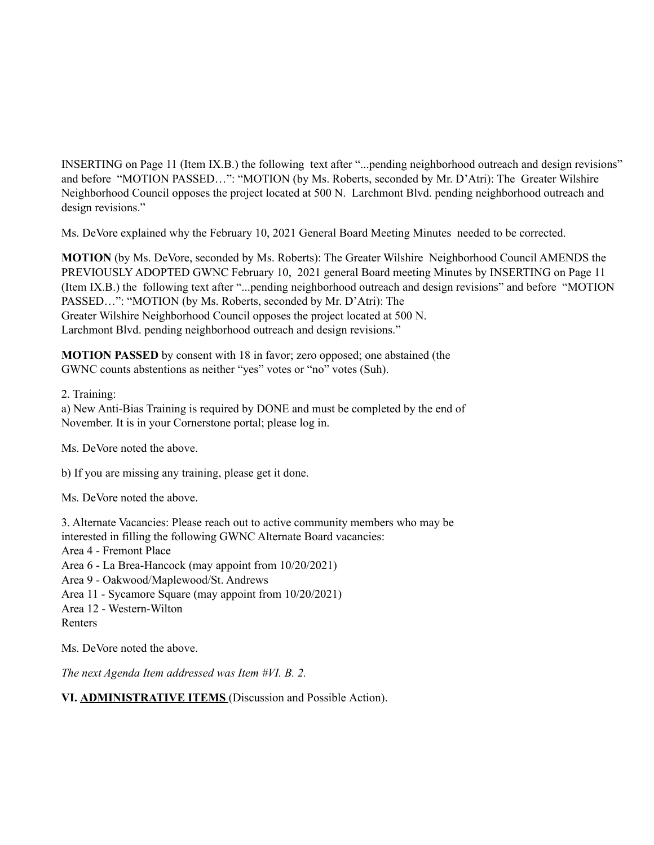INSERTING on Page 11 (Item IX.B.) the following text after "...pending neighborhood outreach and design revisions" and before "MOTION PASSED…": "MOTION (by Ms. Roberts, seconded by Mr. D'Atri): The Greater Wilshire Neighborhood Council opposes the project located at 500 N. Larchmont Blvd. pending neighborhood outreach and design revisions."

Ms. DeVore explained why the February 10, 2021 General Board Meeting Minutes needed to be corrected.

**MOTION** (by Ms. DeVore, seconded by Ms. Roberts): The Greater Wilshire Neighborhood Council AMENDS the PREVIOUSLY ADOPTED GWNC February 10, 2021 general Board meeting Minutes by INSERTING on Page 11 (Item IX.B.) the following text after "...pending neighborhood outreach and design revisions" and before "MOTION PASSED…": "MOTION (by Ms. Roberts, seconded by Mr. D'Atri): The Greater Wilshire Neighborhood Council opposes the project located at 500 N. Larchmont Blvd. pending neighborhood outreach and design revisions."

**MOTION PASSED** by consent with 18 in favor; zero opposed; one abstained (the GWNC counts abstentions as neither "yes" votes or "no" votes (Suh).

2. Training:

a) New Anti-Bias Training is required by DONE and must be completed by the end of November. It is in your Cornerstone portal; please log in.

Ms. DeVore noted the above.

b) If you are missing any training, please get it done.

Ms. DeVore noted the above.

3. Alternate Vacancies: Please reach out to active community members who may be interested in filling the following GWNC Alternate Board vacancies: Area 4 - Fremont Place Area 6 - La Brea-Hancock (may appoint from 10/20/2021) Area 9 - Oakwood/Maplewood/St. Andrews Area 11 - Sycamore Square (may appoint from 10/20/2021) Area 12 - Western-Wilton Renters

Ms. DeVore noted the above.

*The next Agenda Item addressed was Item #VI. B. 2.*

**VI. ADMINISTRATIVE ITEMS** (Discussion and Possible Action).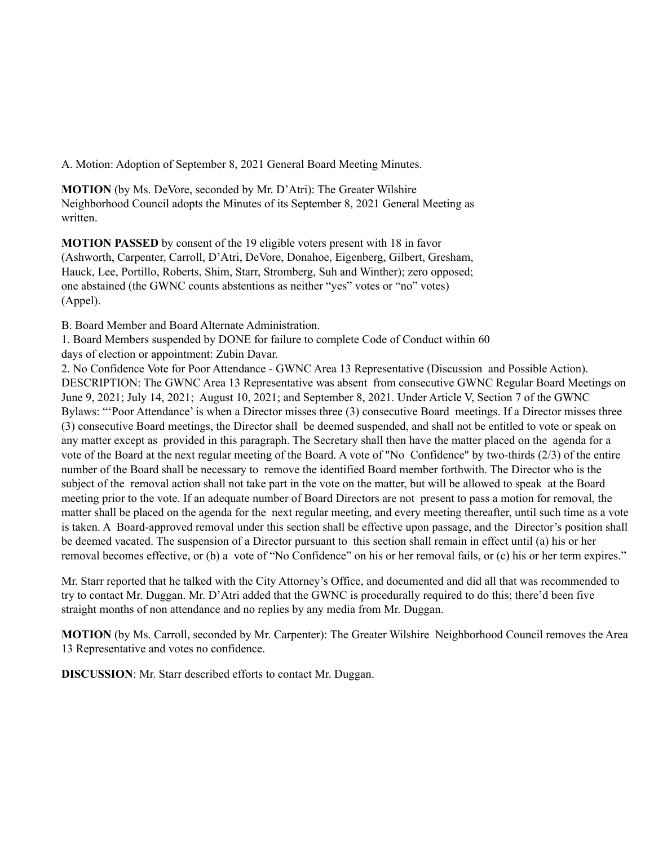A. Motion: Adoption of September 8, 2021 General Board Meeting Minutes.

**MOTION** (by Ms. DeVore, seconded by Mr. D'Atri): The Greater Wilshire Neighborhood Council adopts the Minutes of its September 8, 2021 General Meeting as written.

**MOTION PASSED** by consent of the 19 eligible voters present with 18 in favor (Ashworth, Carpenter, Carroll, D'Atri, DeVore, Donahoe, Eigenberg, Gilbert, Gresham, Hauck, Lee, Portillo, Roberts, Shim, Starr, Stromberg, Suh and Winther); zero opposed; one abstained (the GWNC counts abstentions as neither "yes" votes or "no" votes) (Appel).

B. Board Member and Board Alternate Administration.

1. Board Members suspended by DONE for failure to complete Code of Conduct within 60 days of election or appointment: Zubin Davar.

2. No Confidence Vote for Poor Attendance - GWNC Area 13 Representative (Discussion and Possible Action). DESCRIPTION: The GWNC Area 13 Representative was absent from consecutive GWNC Regular Board Meetings on June 9, 2021; July 14, 2021; August 10, 2021; and September 8, 2021. Under Article V, Section 7 of the GWNC Bylaws: "'Poor Attendance' is when a Director misses three (3) consecutive Board meetings. If a Director misses three (3) consecutive Board meetings, the Director shall be deemed suspended, and shall not be entitled to vote or speak on any matter except as provided in this paragraph. The Secretary shall then have the matter placed on the agenda for a vote of the Board at the next regular meeting of the Board. A vote of "No Confidence" by two-thirds (2/3) of the entire number of the Board shall be necessary to remove the identified Board member forthwith. The Director who is the subject of the removal action shall not take part in the vote on the matter, but will be allowed to speak at the Board meeting prior to the vote. If an adequate number of Board Directors are not present to pass a motion for removal, the matter shall be placed on the agenda for the next regular meeting, and every meeting thereafter, until such time as a vote is taken. A Board-approved removal under this section shall be effective upon passage, and the Director's position shall be deemed vacated. The suspension of a Director pursuant to this section shall remain in effect until (a) his or her removal becomes effective, or (b) a vote of "No Confidence" on his or her removal fails, or (c) his or her term expires."

Mr. Starr reported that he talked with the City Attorney's Office, and documented and did all that was recommended to try to contact Mr. Duggan. Mr. D'Atri added that the GWNC is procedurally required to do this; there'd been five straight months of non attendance and no replies by any media from Mr. Duggan.

**MOTION** (by Ms. Carroll, seconded by Mr. Carpenter): The Greater Wilshire Neighborhood Council removes the Area 13 Representative and votes no confidence.

**DISCUSSION**: Mr. Starr described efforts to contact Mr. Duggan.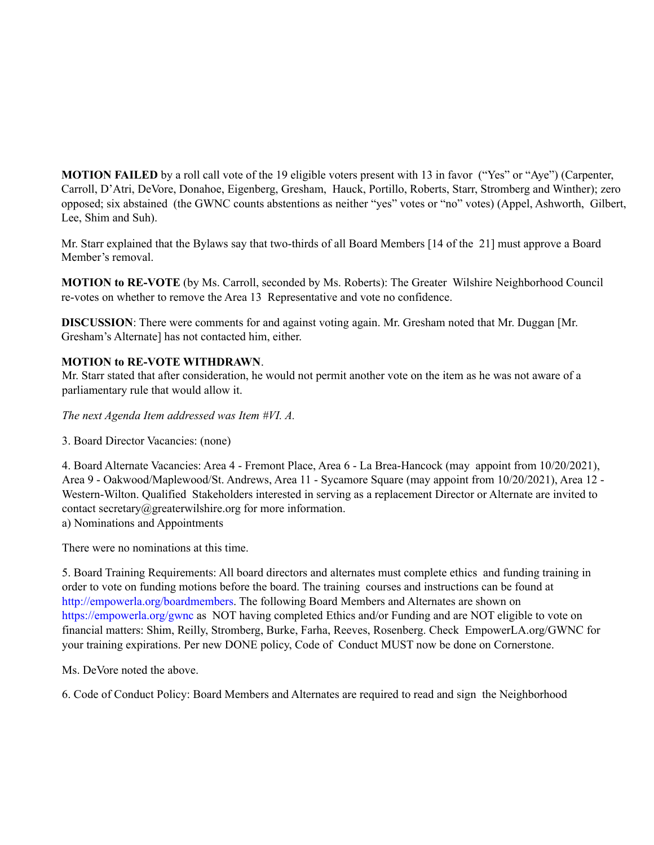**MOTION FAILED** by a roll call vote of the 19 eligible voters present with 13 in favor ("Yes" or "Aye") (Carpenter, Carroll, D'Atri, DeVore, Donahoe, Eigenberg, Gresham, Hauck, Portillo, Roberts, Starr, Stromberg and Winther); zero opposed; six abstained (the GWNC counts abstentions as neither "yes" votes or "no" votes) (Appel, Ashworth, Gilbert, Lee, Shim and Suh).

Mr. Starr explained that the Bylaws say that two-thirds of all Board Members [14 of the 21] must approve a Board Member's removal.

**MOTION to RE-VOTE** (by Ms. Carroll, seconded by Ms. Roberts): The Greater Wilshire Neighborhood Council re-votes on whether to remove the Area 13 Representative and vote no confidence.

**DISCUSSION**: There were comments for and against voting again. Mr. Gresham noted that Mr. Duggan [Mr. Gresham's Alternate] has not contacted him, either.

### **MOTION to RE-VOTE WITHDRAWN**.

Mr. Starr stated that after consideration, he would not permit another vote on the item as he was not aware of a parliamentary rule that would allow it.

*The next Agenda Item addressed was Item #VI. A.*

3. Board Director Vacancies: (none)

4. Board Alternate Vacancies: Area 4 - Fremont Place, Area 6 - La Brea-Hancock (may appoint from 10/20/2021), Area 9 - Oakwood/Maplewood/St. Andrews, Area 11 - Sycamore Square (may appoint from 10/20/2021), Area 12 - Western-Wilton. Qualified Stakeholders interested in serving as a replacement Director or Alternate are invited to contact secretary@greaterwilshire.org for more information. a) Nominations and Appointments

There were no nominations at this time.

5. Board Training Requirements: All board directors and alternates must complete ethics and funding training in order to vote on funding motions before the board. The training courses and instructions can be found at http://empowerla.org/boardmembers. The following Board Members and Alternates are shown on https://empowerla.org/gwnc as NOT having completed Ethics and/or Funding and are NOT eligible to vote on financial matters: Shim, Reilly, Stromberg, Burke, Farha, Reeves, Rosenberg. Check EmpowerLA.org/GWNC for your training expirations. Per new DONE policy, Code of Conduct MUST now be done on Cornerstone.

Ms. DeVore noted the above.

6. Code of Conduct Policy: Board Members and Alternates are required to read and sign the Neighborhood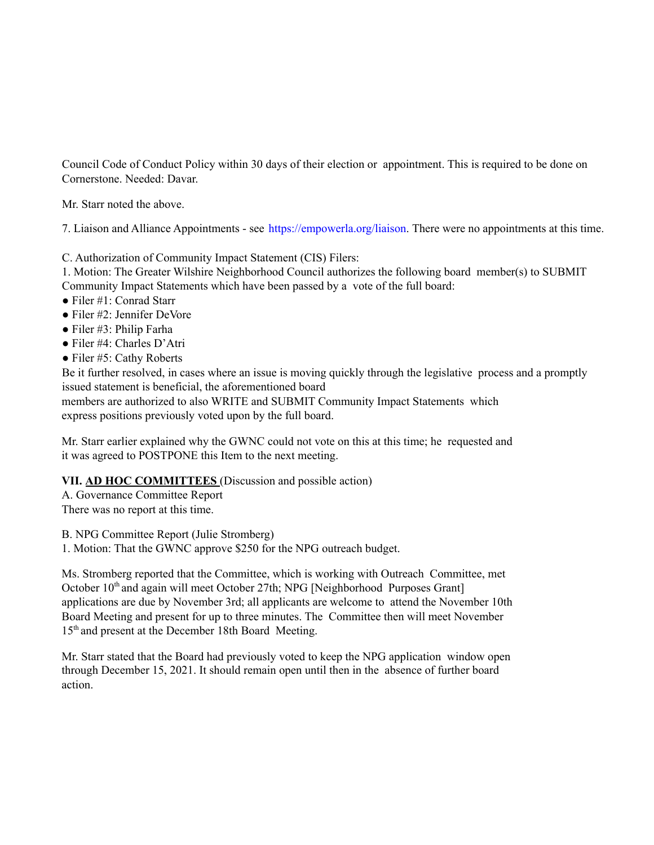Council Code of Conduct Policy within 30 days of their election or appointment. This is required to be done on Cornerstone. Needed: Davar.

Mr. Starr noted the above.

7. Liaison and Alliance Appointments - see https://empowerla.org/liaison. There were no appointments at this time.

C. Authorization of Community Impact Statement (CIS) Filers:

1. Motion: The Greater Wilshire Neighborhood Council authorizes the following board member(s) to SUBMIT Community Impact Statements which have been passed by a vote of the full board:

- Filer #1: Conrad Starr
- Filer #2: Jennifer DeVore
- Filer #3: Philip Farha
- Filer #4: Charles D'Atri
- Filer #5: Cathy Roberts

Be it further resolved, in cases where an issue is moving quickly through the legislative process and a promptly issued statement is beneficial, the aforementioned board

members are authorized to also WRITE and SUBMIT Community Impact Statements which express positions previously voted upon by the full board.

Mr. Starr earlier explained why the GWNC could not vote on this at this time; he requested and it was agreed to POSTPONE this Item to the next meeting.

## **VII. AD HOC COMMITTEES** (Discussion and possible action)

A. Governance Committee Report There was no report at this time.

B. NPG Committee Report (Julie Stromberg)

1. Motion: That the GWNC approve \$250 for the NPG outreach budget.

Ms. Stromberg reported that the Committee, which is working with Outreach Committee, met October 10<sup>th</sup> and again will meet October 27th; NPG [Neighborhood Purposes Grant] applications are due by November 3rd; all applicants are welcome to attend the November 10th Board Meeting and present for up to three minutes. The Committee then will meet November 15<sup>th</sup> and present at the December 18th Board Meeting.

Mr. Starr stated that the Board had previously voted to keep the NPG application window open through December 15, 2021. It should remain open until then in the absence of further board action.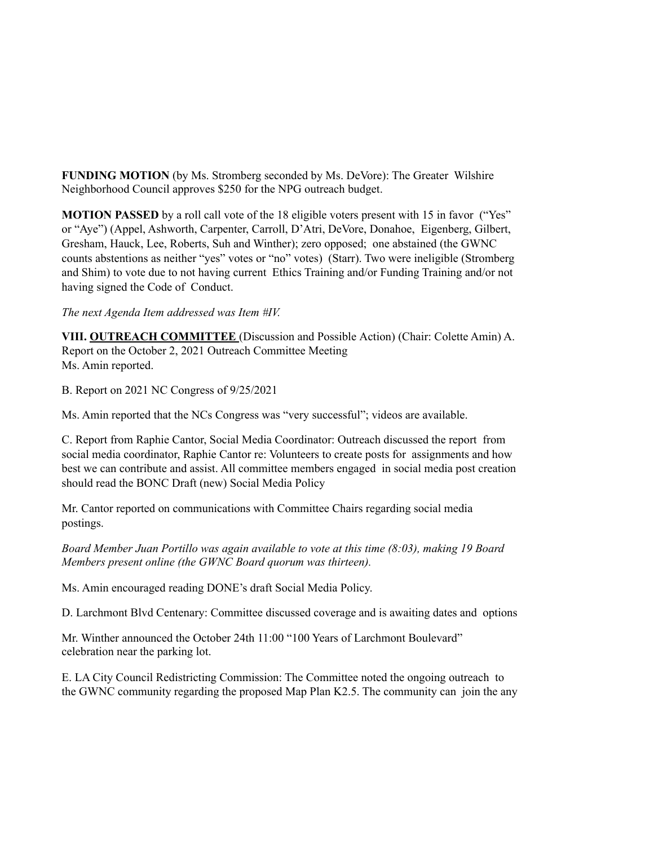**FUNDING MOTION** (by Ms. Stromberg seconded by Ms. DeVore): The Greater Wilshire Neighborhood Council approves \$250 for the NPG outreach budget.

**MOTION PASSED** by a roll call vote of the 18 eligible voters present with 15 in favor ("Yes" or "Aye") (Appel, Ashworth, Carpenter, Carroll, D'Atri, DeVore, Donahoe, Eigenberg, Gilbert, Gresham, Hauck, Lee, Roberts, Suh and Winther); zero opposed; one abstained (the GWNC counts abstentions as neither "yes" votes or "no" votes) (Starr). Two were ineligible (Stromberg and Shim) to vote due to not having current Ethics Training and/or Funding Training and/or not having signed the Code of Conduct.

#### *The next Agenda Item addressed was Item #IV.*

**VIII. OUTREACH COMMITTEE** (Discussion and Possible Action) (Chair: Colette Amin) A. Report on the October 2, 2021 Outreach Committee Meeting Ms. Amin reported.

B. Report on 2021 NC Congress of 9/25/2021

Ms. Amin reported that the NCs Congress was "very successful"; videos are available.

C. Report from Raphie Cantor, Social Media Coordinator: Outreach discussed the report from social media coordinator, Raphie Cantor re: Volunteers to create posts for assignments and how best we can contribute and assist. All committee members engaged in social media post creation should read the BONC Draft (new) Social Media Policy

Mr. Cantor reported on communications with Committee Chairs regarding social media postings.

*Board Member Juan Portillo was again available to vote at this time (8:03), making 19 Board Members present online (the GWNC Board quorum was thirteen).*

Ms. Amin encouraged reading DONE's draft Social Media Policy.

D. Larchmont Blvd Centenary: Committee discussed coverage and is awaiting dates and options

Mr. Winther announced the October 24th 11:00 "100 Years of Larchmont Boulevard" celebration near the parking lot.

E. LA City Council Redistricting Commission: The Committee noted the ongoing outreach to the GWNC community regarding the proposed Map Plan K2.5. The community can join the any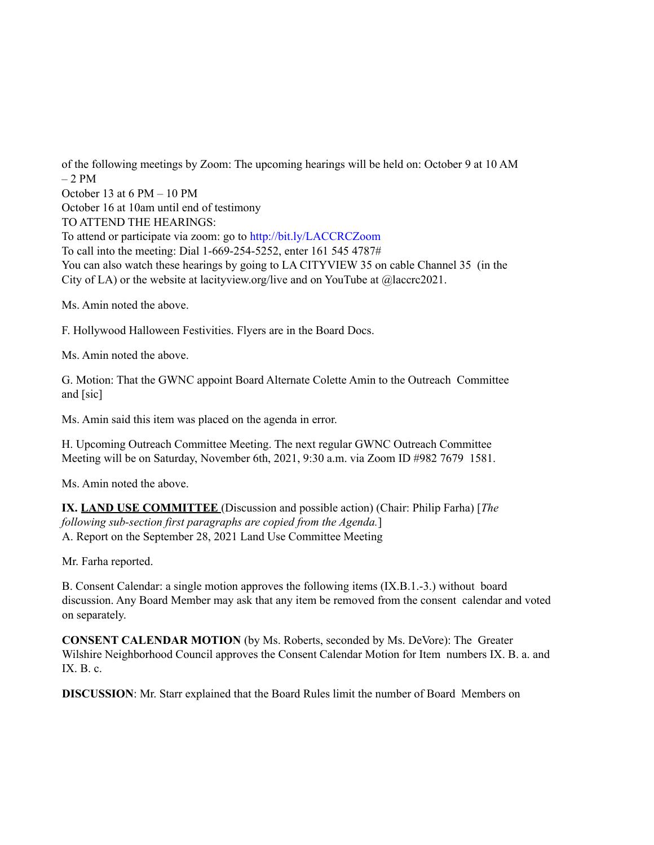of the following meetings by Zoom: The upcoming hearings will be held on: October 9 at 10 AM  $-2$  PM October 13 at 6 PM – 10 PM October 16 at 10am until end of testimony TO ATTEND THE HEARINGS: To attend or participate via zoom: go to http://bit.ly/LACCRCZoom To call into the meeting: Dial 1-669-254-5252, enter 161 545 4787# You can also watch these hearings by going to LA CITYVIEW 35 on cable Channel 35 (in the City of LA) or the website at lacityview.org/live and on YouTube at @laccrc2021.

Ms. Amin noted the above.

F. Hollywood Halloween Festivities. Flyers are in the Board Docs.

Ms. Amin noted the above.

G. Motion: That the GWNC appoint Board Alternate Colette Amin to the Outreach Committee and [sic]

Ms. Amin said this item was placed on the agenda in error.

H. Upcoming Outreach Committee Meeting. The next regular GWNC Outreach Committee Meeting will be on Saturday, November 6th, 2021, 9:30 a.m. via Zoom ID #982 7679 1581.

Ms. Amin noted the above.

**IX. LAND USE COMMITTEE** (Discussion and possible action) (Chair: Philip Farha) [*The following sub-section first paragraphs are copied from the Agenda.*] A. Report on the September 28, 2021 Land Use Committee Meeting

Mr. Farha reported.

B. Consent Calendar: a single motion approves the following items (IX.B.1.-3.) without board discussion. Any Board Member may ask that any item be removed from the consent calendar and voted on separately.

**CONSENT CALENDAR MOTION** (by Ms. Roberts, seconded by Ms. DeVore): The Greater Wilshire Neighborhood Council approves the Consent Calendar Motion for Item numbers IX. B. a. and IX.  $B. c.$ 

**DISCUSSION**: Mr. Starr explained that the Board Rules limit the number of Board Members on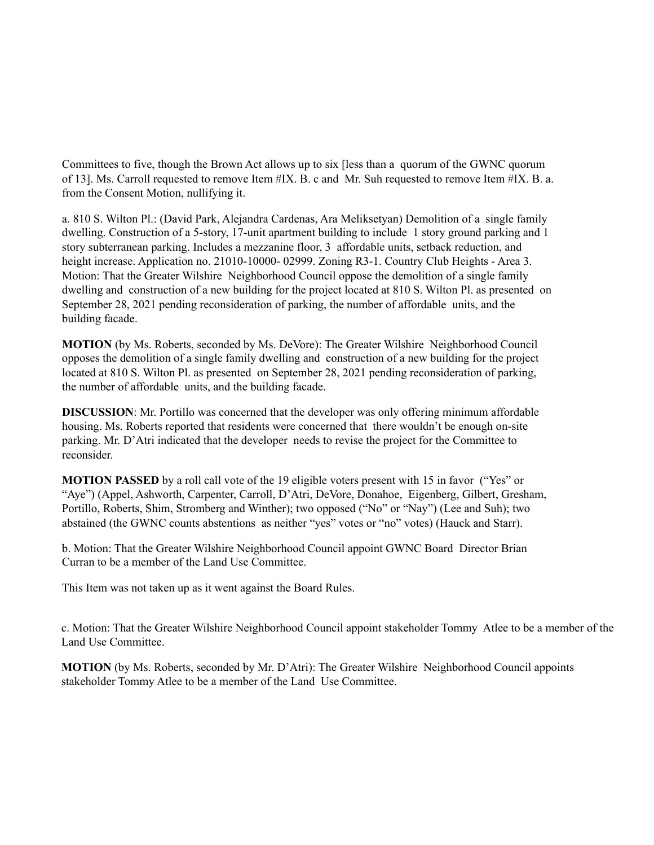Committees to five, though the Brown Act allows up to six [less than a quorum of the GWNC quorum of 13]. Ms. Carroll requested to remove Item  $\#IX$ . B. c and Mr. Suh requested to remove Item  $\#IX$ . B. a. from the Consent Motion, nullifying it.

a. 810 S. Wilton Pl.: (David Park, Alejandra Cardenas, Ara Meliksetyan) Demolition of a single family dwelling. Construction of a 5-story, 17-unit apartment building to include 1 story ground parking and 1 story subterranean parking. Includes a mezzanine floor, 3 affordable units, setback reduction, and height increase. Application no. 21010-10000-02999. Zoning R3-1. Country Club Heights - Area 3. Motion: That the Greater Wilshire Neighborhood Council oppose the demolition of a single family dwelling and construction of a new building for the project located at 810 S. Wilton Pl. as presented on September 28, 2021 pending reconsideration of parking, the number of affordable units, and the building facade.

**MOTION** (by Ms. Roberts, seconded by Ms. DeVore): The Greater Wilshire Neighborhood Council opposes the demolition of a single family dwelling and construction of a new building for the project located at 810 S. Wilton Pl. as presented on September 28, 2021 pending reconsideration of parking, the number of affordable units, and the building facade.

**DISCUSSION**: Mr. Portillo was concerned that the developer was only offering minimum affordable housing. Ms. Roberts reported that residents were concerned that there wouldn't be enough on-site parking. Mr. D'Atri indicated that the developer needs to revise the project for the Committee to reconsider.

**MOTION PASSED** by a roll call vote of the 19 eligible voters present with 15 in favor ("Yes" or "Aye") (Appel, Ashworth, Carpenter, Carroll, D'Atri, DeVore, Donahoe, Eigenberg, Gilbert, Gresham, Portillo, Roberts, Shim, Stromberg and Winther); two opposed ("No" or "Nay") (Lee and Suh); two abstained (the GWNC counts abstentions as neither "yes" votes or "no" votes) (Hauck and Starr).

b. Motion: That the Greater Wilshire Neighborhood Council appoint GWNC Board Director Brian Curran to be a member of the Land Use Committee.

This Item was not taken up as it went against the Board Rules.

c. Motion: That the Greater Wilshire Neighborhood Council appoint stakeholder Tommy Atlee to be a member of the Land Use Committee.

**MOTION** (by Ms. Roberts, seconded by Mr. D'Atri): The Greater Wilshire Neighborhood Council appoints stakeholder Tommy Atlee to be a member of the Land Use Committee.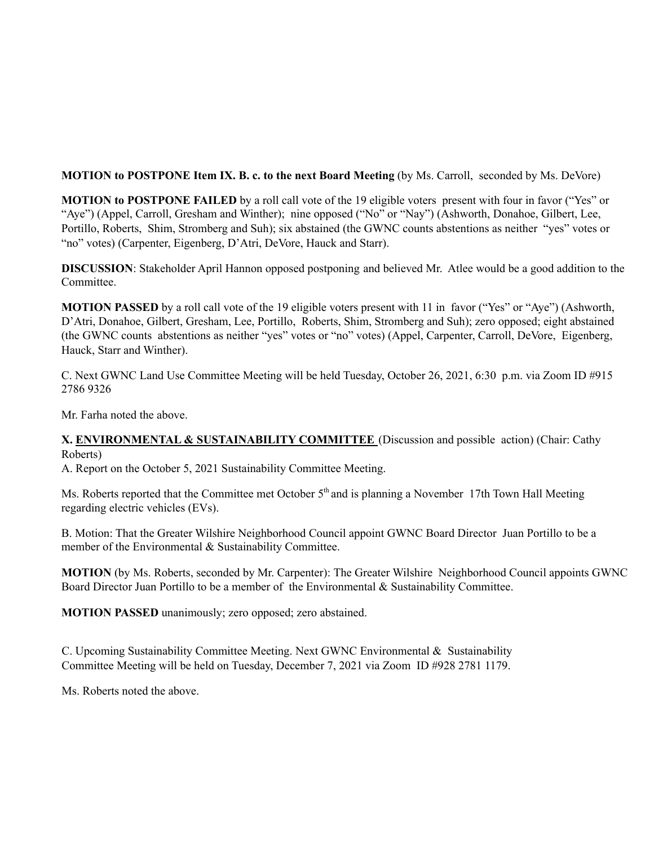## **MOTION to POSTPONE Item IX. B. c. to the next Board Meeting** (by Ms. Carroll, seconded by Ms. DeVore)

**MOTION to POSTPONE FAILED** by a roll call vote of the 19 eligible voters present with four in favor ("Yes" or "Aye") (Appel, Carroll, Gresham and Winther); nine opposed ("No" or "Nay") (Ashworth, Donahoe, Gilbert, Lee, Portillo, Roberts, Shim, Stromberg and Suh); six abstained (the GWNC counts abstentions as neither "yes" votes or "no" votes) (Carpenter, Eigenberg, D'Atri, DeVore, Hauck and Starr).

**DISCUSSION**: Stakeholder April Hannon opposed postponing and believed Mr. Atlee would be a good addition to the Committee.

**MOTION PASSED** by a roll call vote of the 19 eligible voters present with 11 in favor ("Yes" or "Aye") (Ashworth, D'Atri, Donahoe, Gilbert, Gresham, Lee, Portillo, Roberts, Shim, Stromberg and Suh); zero opposed; eight abstained (the GWNC counts abstentions as neither "yes" votes or "no" votes) (Appel, Carpenter, Carroll, DeVore, Eigenberg, Hauck, Starr and Winther).

C. Next GWNC Land Use Committee Meeting will be held Tuesday, October 26, 2021, 6:30 p.m. via Zoom ID #915 2786 9326

Mr. Farha noted the above.

### **X. ENVIRONMENTAL & SUSTAINABILITY COMMITTEE** (Discussion and possible action) (Chair: Cathy Roberts)

A. Report on the October 5, 2021 Sustainability Committee Meeting.

Ms. Roberts reported that the Committee met October 5<sup>th</sup> and is planning a November 17th Town Hall Meeting regarding electric vehicles (EVs).

B. Motion: That the Greater Wilshire Neighborhood Council appoint GWNC Board Director Juan Portillo to be a member of the Environmental & Sustainability Committee.

**MOTION** (by Ms. Roberts, seconded by Mr. Carpenter): The Greater Wilshire Neighborhood Council appoints GWNC Board Director Juan Portillo to be a member of the Environmental & Sustainability Committee.

**MOTION PASSED** unanimously; zero opposed; zero abstained.

C. Upcoming Sustainability Committee Meeting. Next GWNC Environmental & Sustainability Committee Meeting will be held on Tuesday, December 7, 2021 via Zoom ID #928 2781 1179.

Ms. Roberts noted the above.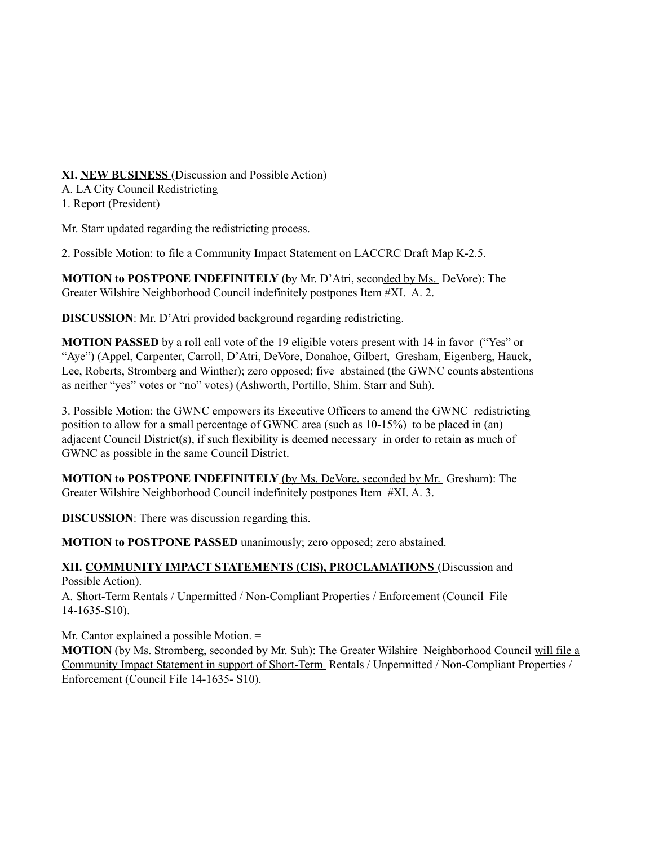## **XI. NEW BUSINESS** (Discussion and Possible Action)

A. LA City Council Redistricting

1. Report (President)

Mr. Starr updated regarding the redistricting process.

2. Possible Motion: to file a Community Impact Statement on LACCRC Draft Map K-2.5.

**MOTION to POSTPONE INDEFINITELY** (by Mr. D'Atri, seconded by Ms. DeVore): The Greater Wilshire Neighborhood Council indefinitely postpones Item #XI. A. 2.

**DISCUSSION**: Mr. D'Atri provided background regarding redistricting.

**MOTION PASSED** by a roll call vote of the 19 eligible voters present with 14 in favor ("Yes" or "Aye") (Appel, Carpenter, Carroll, D'Atri, DeVore, Donahoe, Gilbert, Gresham, Eigenberg, Hauck, Lee, Roberts, Stromberg and Winther); zero opposed; five abstained (the GWNC counts abstentions as neither "yes" votes or "no" votes) (Ashworth, Portillo, Shim, Starr and Suh).

3. Possible Motion: the GWNC empowers its Executive Officers to amend the GWNC redistricting position to allow for a small percentage of GWNC area (such as 10-15%) to be placed in (an) adjacent Council District(s), if such flexibility is deemed necessary in order to retain as much of GWNC as possible in the same Council District.

**MOTION to POSTPONE INDEFINITELY** (by Ms. DeVore, seconded by Mr. Gresham): The Greater Wilshire Neighborhood Council indefinitely postpones Item #XI. A. 3.

**DISCUSSION**: There was discussion regarding this.

**MOTION to POSTPONE PASSED** unanimously; zero opposed; zero abstained.

#### **XII. COMMUNITY IMPACT STATEMENTS (CIS), PROCLAMATIONS** (Discussion and Possible Action).

A. Short-Term Rentals / Unpermitted / Non-Compliant Properties / Enforcement (Council File 14-1635-S10).

Mr. Cantor explained a possible Motion. =

**MOTION** (by Ms. Stromberg, seconded by Mr. Suh): The Greater Wilshire Neighborhood Council will file a Community Impact Statement in support of Short-Term Rentals / Unpermitted / Non-Compliant Properties / Enforcement (Council File 14-1635- S10).